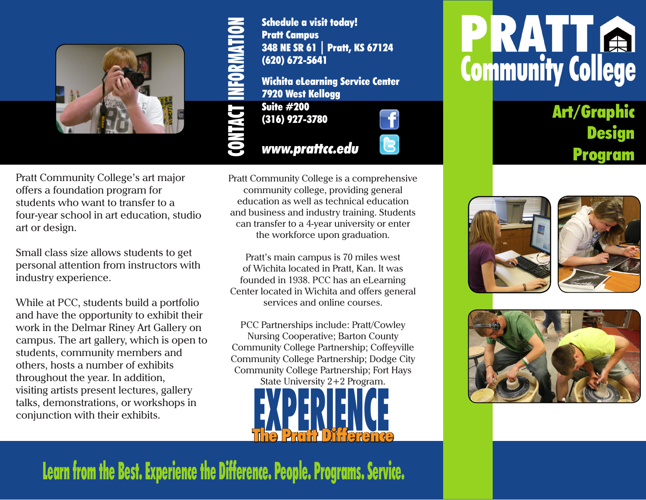

Pratt Community College's art major offers a foundation program for students who want to transfer to a four-year school in art education, studio art or design.

Small class size allows students to get personal attention from instructors with industry experience.

While at PCC, students build a portfolio and have the opportunity to exhibit their work in the Delmar Riney Art Gallery on campus. The art gallery, which is open to students, community members and others, hosts a number of exhibits throughout the year. In addition, visiting artists present lectures, gallery talks, demonstrations, or workshops in conjunction with their exhibits.



348 NE SR 61 | Pratt, KS 67124 Wichita eLearning Service Center

*www.prattcc.edu*



Pratt Community College is a comprehensive community college, providing general education as well as technical education and business and industry training. Students can transfer to a 4-year university or enter the workforce upon graduation.

Pratt's main campus is 70 miles west of Wichita located in Pratt, Kan. It was founded in 1938. PCC has an eLearning Center located in Wichita and offers general services and online courses.

PCC Partnerships include: Pratt/Cowley Nursing Cooperative; Barton County Community College Partnership; Coffeyville Community College Partnership; Dodge City Community College Partnership; Fort Hays State University 2+2 Program.



# **PRATTA**<br>Community College

Art/Graphic **Design** Program







Learn from the Best. Experience the Difference. People. Programs. Service.